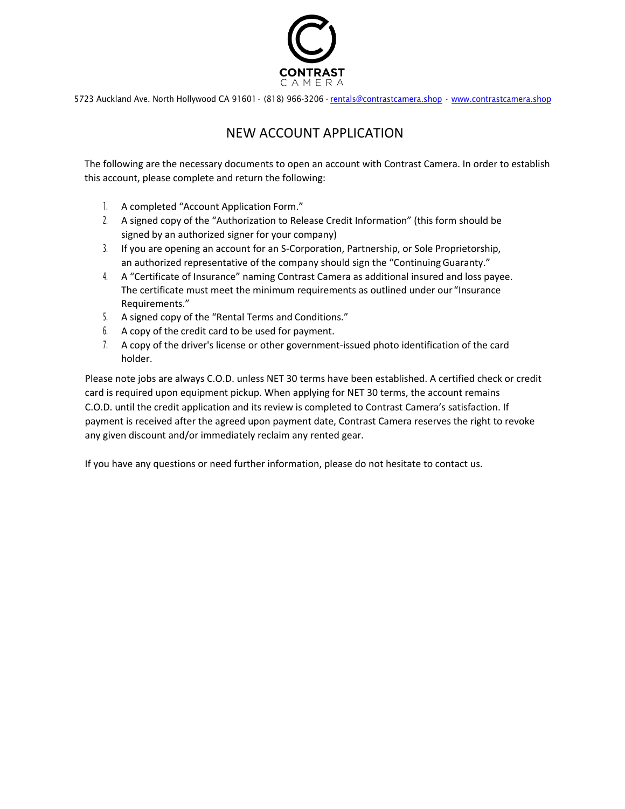

# NEW ACCOUNT APPLICATION

The following are the necessary documents to open an account with Contrast Camera. In order to establish this account, please complete and return the following:

- 1. A completed "Account Application Form."
- 2. A signed copy of the "Authorization to Release Credit Information" (this form should be signed by an authorized signer for your company)
- 3. If you are opening an account for an S-Corporation, Partnership, or Sole Proprietorship, an authorized representative of the company should sign the "ContinuingGuaranty."
- 4. A "Certificate of Insurance" naming Contrast Camera as additional insured and loss payee. The certificate must meet the minimum requirements as outlined under our "Insurance Requirements."
- 5. A signed copy of the "Rental Terms and Conditions."
- 6. A copy of the credit card to be used for payment.
- 7. A copy of the driver's license or other government-issued photo identification of the card holder.

Please note jobs are always C.O.D. unless NET 30 terms have been established. A certified check or credit card is required upon equipment pickup. When applying for NET 30 terms, the account remains C.O.D. until the credit application and its review is completed to Contrast Camera's satisfaction. If payment is received after the agreed upon payment date, Contrast Camera reserves the right to revoke any given discount and/or immediately reclaim any rented gear.

If you have any questions or need further information, please do not hesitate to contact us.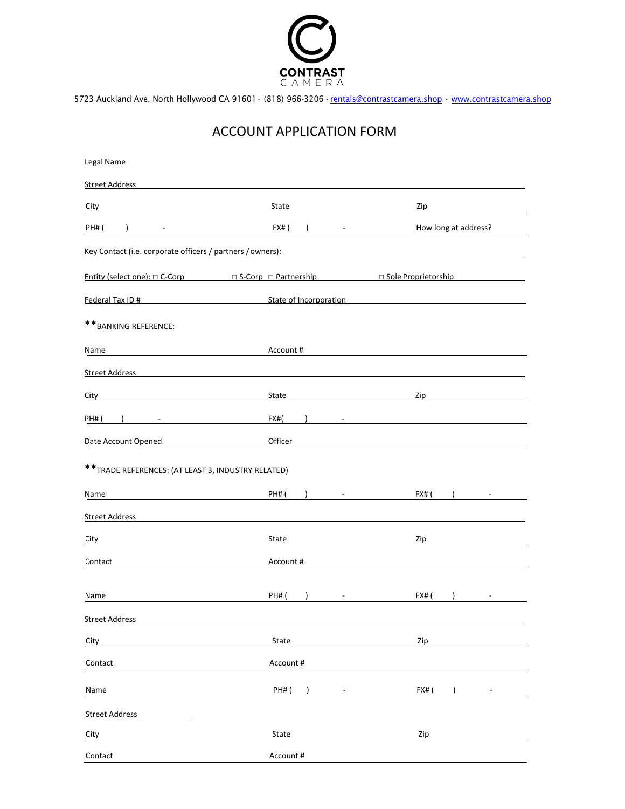

## ACCOUNT APPLICATION FORM

| Legal Name                                                                                                                                                                                                                     |                                          |                                       |
|--------------------------------------------------------------------------------------------------------------------------------------------------------------------------------------------------------------------------------|------------------------------------------|---------------------------------------|
| <b>Street Address</b>                                                                                                                                                                                                          |                                          |                                       |
| City                                                                                                                                                                                                                           | State                                    | Zip                                   |
| <b>PH# (</b>                                                                                                                                                                                                                   | $FX#$ (<br>the company of the company of | How long at address?                  |
| Key Contact (i.e. corporate officers / partners / owners):                                                                                                                                                                     |                                          |                                       |
| Entity (select one): $\Box$ C-Corp $\Box$ S-Corp $\Box$ Partnership $\Box$ Sole Proprietorship                                                                                                                                 |                                          |                                       |
| Federal Tax ID # State of Incorporation Contract Contract Contract Contract Contract Contract Contract Contract Contract Contract Contract Contract Contract Contract Contract Contract Contract Contract Contract Contract Co |                                          |                                       |
| ** BANKING REFERENCE:                                                                                                                                                                                                          |                                          |                                       |
| Name<br>the control of the control of the control of the control of the control of                                                                                                                                             | Account #                                |                                       |
| Street Address and the state of the state of the state of the state of the state of the state of the state of the state of the state of the state of the state of the state of the state of the state of the state of the stat |                                          |                                       |
| City                                                                                                                                                                                                                           | State                                    | Zip                                   |
| PH# (                                                                                                                                                                                                                          | FX#(                                     |                                       |
| Date Account Opened                                                                                                                                                                                                            | Officer                                  |                                       |
| ** TRADE REFERENCES: (AT LEAST 3, INDUSTRY RELATED)                                                                                                                                                                            |                                          |                                       |
| Name                                                                                                                                                                                                                           | <b>PH# (</b>                             | FX# (<br>$\lambda$<br>$\sim 10^{-10}$ |
| <b>Street Address</b>                                                                                                                                                                                                          |                                          |                                       |
| City                                                                                                                                                                                                                           | State                                    | Zip                                   |
| Contact                                                                                                                                                                                                                        | Account #                                |                                       |
|                                                                                                                                                                                                                                |                                          |                                       |
| Name                                                                                                                                                                                                                           | <b>PH#</b> (                             | FX#(                                  |
| <b>Street Address</b>                                                                                                                                                                                                          |                                          |                                       |
| City                                                                                                                                                                                                                           | State                                    | Zip                                   |
| Contact                                                                                                                                                                                                                        | Account#                                 |                                       |
| Name                                                                                                                                                                                                                           | <b>PH#</b> (<br>$\lambda$                | FX# (<br>$\mathcal{E}$                |
| <b>Street Address</b>                                                                                                                                                                                                          |                                          |                                       |
| City                                                                                                                                                                                                                           | State                                    | Zip                                   |
| Contact                                                                                                                                                                                                                        | Account #                                |                                       |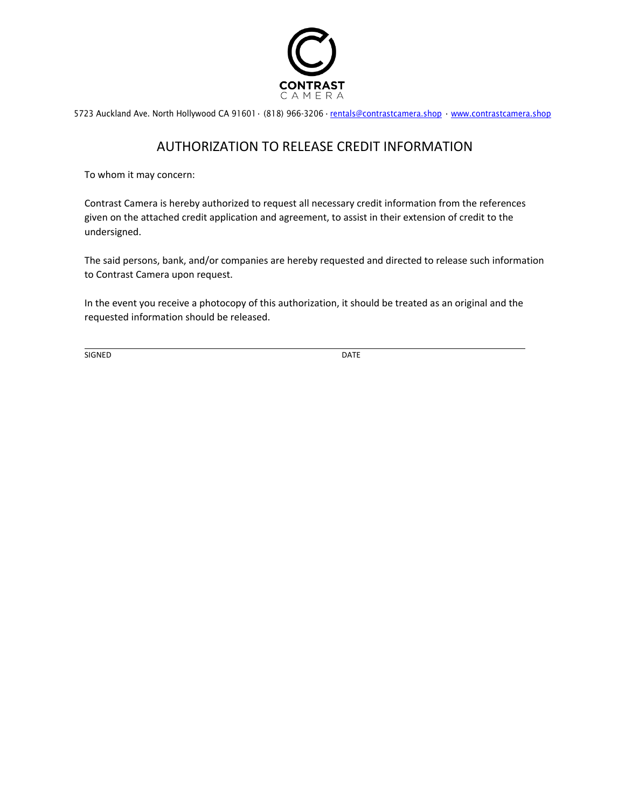

#### AUTHORIZATION TO RELEASE CREDIT INFORMATION

To whom it may concern:

Contrast Camera is hereby authorized to request all necessary credit information from the references given on the attached credit application and agreement, to assist in their extension of credit to the undersigned.

The said persons, bank, and/or companies are hereby requested and directed to release such information to Contrast Camera upon request.

In the event you receive a photocopy of this authorization, it should be treated as an original and the requested information should be released.

SIGNED DATE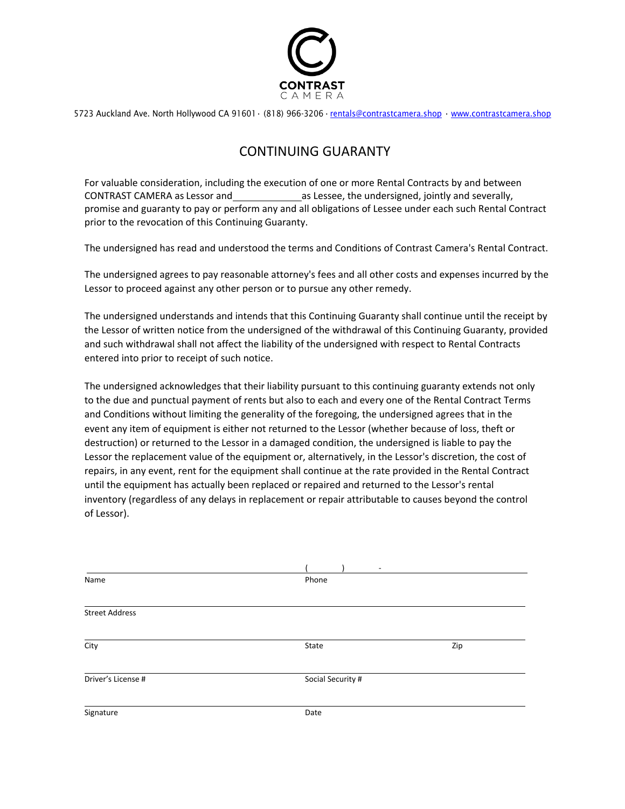

## CONTINUING GUARANTY

For valuable consideration, including the execution of one or more Rental Contracts by and between CONTRAST CAMERA as Lessor and as Lessee, the undersigned, jointly and severally, promise and guaranty to pay or perform any and all obligations of Lessee under each such Rental Contract prior to the revocation of this Continuing Guaranty.

The undersigned has read and understood the terms and Conditions of Contrast Camera's Rental Contract.

The undersigned agrees to pay reasonable attorney's fees and all other costs and expenses incurred by the Lessor to proceed against any other person or to pursue any other remedy.

The undersigned understands and intends that this Continuing Guaranty shall continue until the receipt by the Lessor of written notice from the undersigned of the withdrawal of this Continuing Guaranty, provided and such withdrawal shall not affect the liability of the undersigned with respect to Rental Contracts entered into prior to receipt of such notice.

The undersigned acknowledges that their liability pursuant to this continuing guaranty extends not only to the due and punctual payment of rents but also to each and every one of the Rental Contract Terms and Conditions without limiting the generality of the foregoing, the undersigned agrees that in the event any item of equipment is either not returned to the Lessor (whether because of loss, theft or destruction) or returned to the Lessor in a damaged condition, the undersigned is liable to pay the Lessor the replacement value of the equipment or, alternatively, in the Lessor's discretion, the cost of repairs, in any event, rent for the equipment shall continue at the rate provided in the Rental Contract until the equipment has actually been replaced or repaired and returned to the Lessor's rental inventory (regardless of any delays in replacement or repair attributable to causes beyond the control of Lessor).

|                       | $\overline{\phantom{a}}$ |     |  |
|-----------------------|--------------------------|-----|--|
| Name                  | Phone                    |     |  |
|                       |                          |     |  |
| <b>Street Address</b> |                          |     |  |
| City                  | State                    | Zip |  |
| Driver's License #    | Social Security #        |     |  |
| Signature             | Date                     |     |  |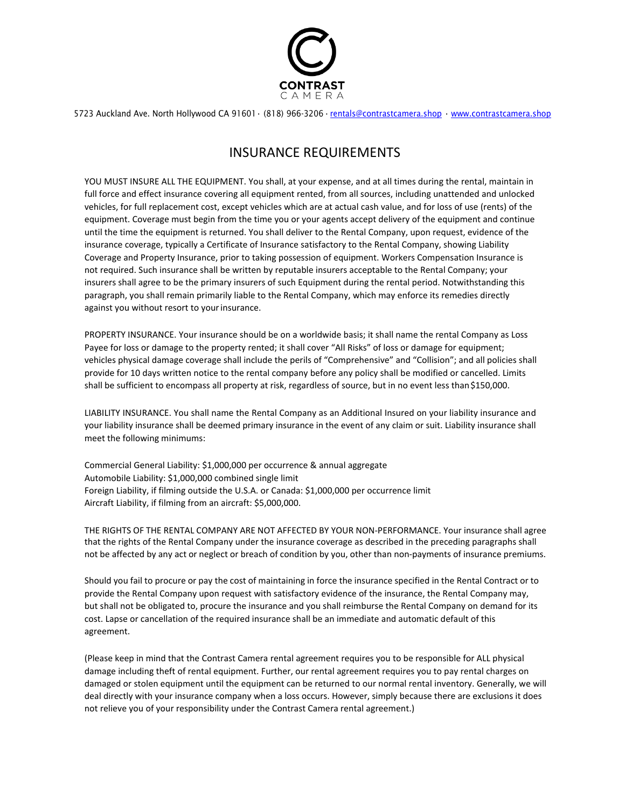

5723 Auckland Ave. North Hollywood CA 91601• (818) 966-3206•[rentals@contrastcamera.shop](mailto:rentals@contrastcamera.shop) • [www.contrastcamera.shop](http://www.contrastcamera.shop/)

### INSURANCE REQUIREMENTS

YOU MUST INSURE ALL THE EQUIPMENT. You shall, at your expense, and at all times during the rental, maintain in full force and effect insurance covering all equipment rented, from all sources, including unattended and unlocked vehicles, for full replacement cost, except vehicles which are at actual cash value, and for loss of use (rents) of the equipment. Coverage must begin from the time you or your agents accept delivery of the equipment and continue until the time the equipment is returned. You shall deliver to the Rental Company, upon request, evidence of the insurance coverage, typically a Certificate of Insurance satisfactory to the Rental Company, showing Liability Coverage and Property Insurance, prior to taking possession of equipment. Workers Compensation Insurance is not required. Such insurance shall be written by reputable insurers acceptable to the Rental Company; your insurers shall agree to be the primary insurers of such Equipment during the rental period. Notwithstanding this paragraph, you shall remain primarily liable to the Rental Company, which may enforce its remedies directly against you without resort to your insurance.

PROPERTY INSURANCE. Your insurance should be on a worldwide basis; it shall name the rental Company as Loss Payee for loss or damage to the property rented; it shall cover "All Risks" of loss or damage for equipment; vehicles physical damage coverage shall include the perils of "Comprehensive" and "Collision"; and all policies shall provide for 10 days written notice to the rental company before any policy shall be modified or cancelled. Limits shall be sufficient to encompass all property at risk, regardless of source, but in no event less than\$150,000.

LIABILITY INSURANCE. You shall name the Rental Company as an Additional Insured on your liability insurance and your liability insurance shall be deemed primary insurance in the event of any claim or suit. Liability insurance shall meet the following minimums:

Commercial General Liability: \$1,000,000 per occurrence & annual aggregate Automobile Liability: \$1,000,000 combined single limit Foreign Liability, if filming outside the U.S.A. or Canada: \$1,000,000 per occurrence limit Aircraft Liability, if filming from an aircraft: \$5,000,000.

THE RIGHTS OF THE RENTAL COMPANY ARE NOT AFFECTED BY YOUR NON-PERFORMANCE. Your insurance shall agree that the rights of the Rental Company under the insurance coverage as described in the preceding paragraphs shall not be affected by any act or neglect or breach of condition by you, other than non-payments of insurance premiums.

Should you fail to procure or pay the cost of maintaining in force the insurance specified in the Rental Contract or to provide the Rental Company upon request with satisfactory evidence of the insurance, the Rental Company may, but shall not be obligated to, procure the insurance and you shall reimburse the Rental Company on demand for its cost. Lapse or cancellation of the required insurance shall be an immediate and automatic default of this agreement.

(Please keep in mind that the Contrast Camera rental agreement requires you to be responsible for ALL physical damage including theft of rental equipment. Further, our rental agreement requires you to pay rental charges on damaged or stolen equipment until the equipment can be returned to our normal rental inventory. Generally, we will deal directly with your insurance company when a loss occurs. However, simply because there are exclusions it does not relieve you of your responsibility under the Contrast Camera rental agreement.)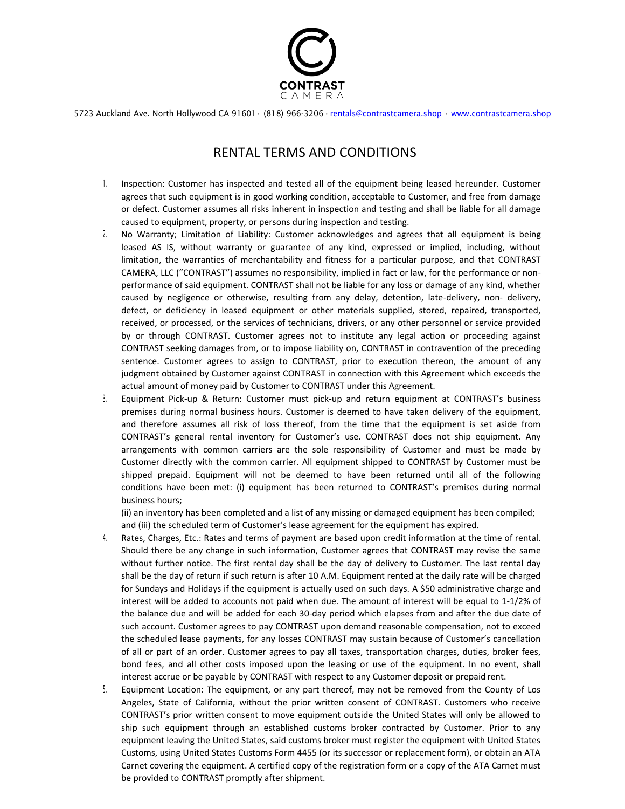

5723 Auckland Ave. North Hollywood CA 91601• (818) 966-3206•[rentals@contrastcamera.shop](mailto:rentals@contrastcamera.shop) • [www.contrastcamera.shop](http://www.contrastcamera.shop/)

#### RENTAL TERMS AND CONDITIONS

- 1. Inspection: Customer has inspected and tested all of the equipment being leased hereunder. Customer agrees that such equipment is in good working condition, acceptable to Customer, and free from damage or defect. Customer assumes all risks inherent in inspection and testing and shall be liable for all damage caused to equipment, property, or persons during inspection and testing.
- 2. No Warranty; Limitation of Liability: Customer acknowledges and agrees that all equipment is being leased AS IS, without warranty or guarantee of any kind, expressed or implied, including, without limitation, the warranties of merchantability and fitness for a particular purpose, and that CONTRAST CAMERA, LLC ("CONTRAST") assumes no responsibility, implied in fact or law, for the performance or nonperformance of said equipment. CONTRAST shall not be liable for any loss or damage of any kind, whether caused by negligence or otherwise, resulting from any delay, detention, late-delivery, non- delivery, defect, or deficiency in leased equipment or other materials supplied, stored, repaired, transported, received, or processed, or the services of technicians, drivers, or any other personnel or service provided by or through CONTRAST. Customer agrees not to institute any legal action or proceeding against CONTRAST seeking damages from, or to impose liability on, CONTRAST in contravention of the preceding sentence. Customer agrees to assign to CONTRAST, prior to execution thereon, the amount of any judgment obtained by Customer against CONTRAST in connection with this Agreement which exceeds the actual amount of money paid by Customer to CONTRAST under this Agreement.
- 3. Equipment Pick-up & Return: Customer must pick-up and return equipment at CONTRAST's business premises during normal business hours. Customer is deemed to have taken delivery of the equipment, and therefore assumes all risk of loss thereof, from the time that the equipment is set aside from CONTRAST's general rental inventory for Customer's use. CONTRAST does not ship equipment. Any arrangements with common carriers are the sole responsibility of Customer and must be made by Customer directly with the common carrier. All equipment shipped to CONTRAST by Customer must be shipped prepaid. Equipment will not be deemed to have been returned until all of the following conditions have been met: (i) equipment has been returned to CONTRAST's premises during normal business hours;

(ii) an inventory has been completed and a list of any missing or damaged equipment has been compiled; and (iii) the scheduled term of Customer's lease agreement for the equipment has expired.

- 4. Rates, Charges, Etc.: Rates and terms of payment are based upon credit information at the time of rental. Should there be any change in such information, Customer agrees that CONTRAST may revise the same without further notice. The first rental day shall be the day of delivery to Customer. The last rental day shall be the day of return if such return is after 10 A.M. Equipment rented at the daily rate will be charged for Sundays and Holidays if the equipment is actually used on such days. A \$50 administrative charge and interest will be added to accounts not paid when due. The amount of interest will be equal to 1-1/2% of the balance due and will be added for each 30-day period which elapses from and after the due date of such account. Customer agrees to pay CONTRAST upon demand reasonable compensation, not to exceed the scheduled lease payments, for any losses CONTRAST may sustain because of Customer's cancellation of all or part of an order. Customer agrees to pay all taxes, transportation charges, duties, broker fees, bond fees, and all other costs imposed upon the leasing or use of the equipment. In no event, shall interest accrue or be payable by CONTRAST with respect to any Customer deposit or prepaid rent.
- 5. Equipment Location: The equipment, or any part thereof, may not be removed from the County of Los Angeles, State of California, without the prior written consent of CONTRAST. Customers who receive CONTRAST's prior written consent to move equipment outside the United States will only be allowed to ship such equipment through an established customs broker contracted by Customer. Prior to any equipment leaving the United States, said customs broker must register the equipment with United States Customs, using United States Customs Form 4455 (or its successor or replacement form), or obtain an ATA Carnet covering the equipment. A certified copy of the registration form or a copy of the ATA Carnet must be provided to CONTRAST promptly after shipment.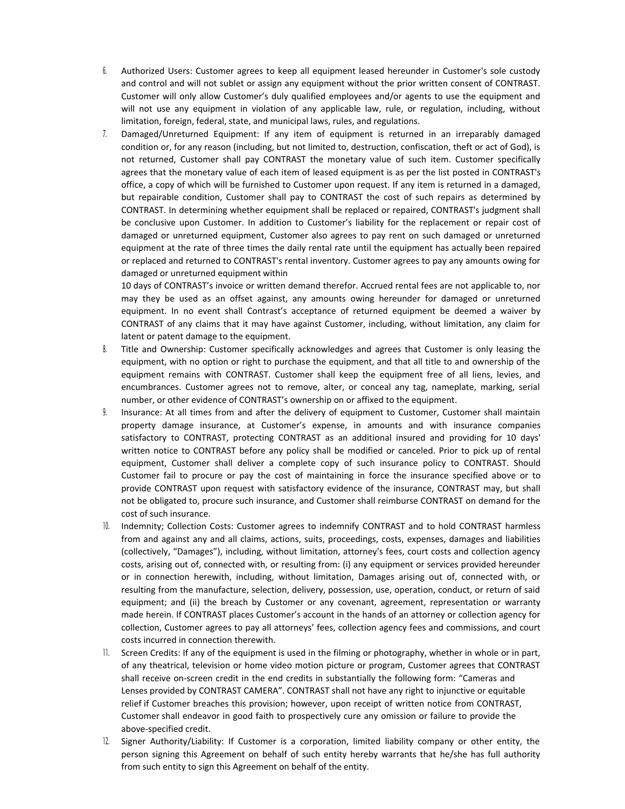- 6. Authorized Users: Customer agrees to keep all equipment leased hereunder in Customer's sole custody and control and will not sublet or assign any equipment without the prior written consent of CONTRAST. Customer will only allow Customer's duly qualified employees and/or agents to use the equipment and will not use any equipment in violation of any applicable law, rule, or regulation, including, without limitation, foreign, federal, state, and municipal laws, rules, and regulations.
- 7. Damaged/Unreturned Equipment: If any item of equipment is returned in an irreparably damaged condition or, for any reason (including, but not limited to, destruction, confiscation, theft or act of God), is not returned, Customer shall pay CONTRAST the monetary value of such item. Customer specifically agrees that the monetary value of each item of leased equipment is as per the list posted in CONTRAST's office, a copy of which will be furnished to Customer upon request. If any item is returned in a damaged, but repairable condition, Customer shall pay to CONTRAST the cost of such repairs as determined by CONTRAST. In determining whether equipment shall be replaced or repaired, CONTRAST's judgment shall be conclusive upon Customer. In addition to Customer's liability for the replacement or repair cost of damaged or unreturned equipment, Customer also agrees to pay rent on such damaged or unreturned equipment at the rate of three times the daily rental rate until the equipment has actually been repaired or replaced and returned to CONTRAST's rental inventory. Customer agrees to pay any amounts owing for damaged or unreturned equipment within

10 days of CONTRAST's invoice or written demand therefor. Accrued rental fees are not applicable to, nor may they be used as an offset against, any amounts owing hereunder for damaged or unreturned equipment. In no event shall Contrast's acceptance of returned equipment be deemed a waiver by CONTRAST of any claims that it may have against Customer, including, without limitation, any claim for latent or patent damage to the equipment.

- 8. Title and Ownership: Customer specifically acknowledges and agrees that Customer is only leasing the equipment, with no option or right to purchase the equipment, and that all title to and ownership of the equipment remains with CONTRAST. Customer shall keep the equipment free of all liens, levies, and encumbrances. Customer agrees not to remove, alter, or conceal any tag, nameplate, marking, serial number, or other evidence of CONTRAST's ownership on or affixed to the equipment.
- 9. Insurance: At all times from and after the delivery of equipment to Customer, Customer shall maintain property damage insurance, at Customer's expense, in amounts and with insurance companies satisfactory to CONTRAST, protecting CONTRAST as an additional insured and providing for 10 days' written notice to CONTRAST before any policy shall be modified or canceled. Prior to pick up of rental equipment, Customer shall deliver a complete copy of such insurance policy to CONTRAST. Should Customer fail to procure or pay the cost of maintaining in force the insurance specified above or to provide CONTRAST upon request with satisfactory evidence of the insurance, CONTRAST may, but shall not be obligated to, procure such insurance, and Customer shall reimburse CONTRAST on demand for the cost of such insurance.
- 10. Indemnity; Collection Costs: Customer agrees to indemnify CONTRAST and to hold CONTRAST harmless from and against any and all claims, actions, suits, proceedings, costs, expenses, damages and liabilities (collectively, "Damages"), including, without limitation, attorney's fees, court costs and collection agency costs, arising out of, connected with, or resulting from: (i) any equipment or services provided hereunder or in connection herewith, including, without limitation, Damages arising out of, connected with, or resulting from the manufacture, selection, delivery, possession, use, operation, conduct, or return of said equipment; and (ii) the breach by Customer or any covenant, agreement, representation or warranty made herein. If CONTRAST places Customer's account in the hands of an attorney or collection agency for collection, Customer agrees to pay all attorneys' fees, collection agency fees and commissions, and court costs incurred in connection therewith.
- 11. Screen Credits: If any of the equipment is used in the filming or photography, whether in whole or in part, of any theatrical, television or home video motion picture or program, Customer agrees that CONTRAST shall receive on-screen credit in the end credits in substantially the following form: "Cameras and Lenses provided by CONTRAST CAMERA". CONTRAST shall not have any right to injunctive or equitable relief if Customer breaches this provision; however, upon receipt of written notice from CONTRAST, Customer shall endeavor in good faith to prospectively cure any omission or failure to provide the above-specified credit.
- 12. Signer Authority/Liability: If Customer is a corporation, limited liability company or other entity, the person signing this Agreement on behalf of such entity hereby warrants that he/she has full authority from such entity to sign this Agreement on behalf of the entity.